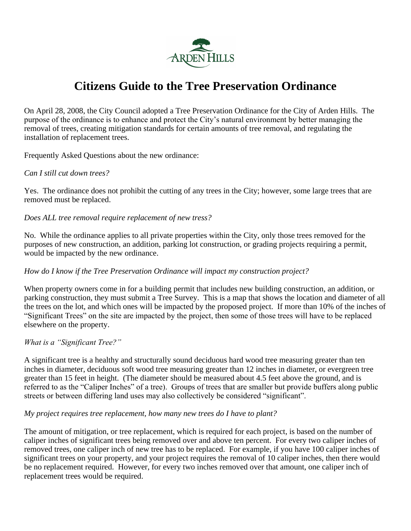

# **Citizens Guide to the Tree Preservation Ordinance**

On April 28, 2008, the City Council adopted a Tree Preservation Ordinance for the City of Arden Hills. The purpose of the ordinance is to enhance and protect the City's natural environment by better managing the removal of trees, creating mitigation standards for certain amounts of tree removal, and regulating the installation of replacement trees.

Frequently Asked Questions about the new ordinance:

## *Can I still cut down trees?*

Yes. The ordinance does not prohibit the cutting of any trees in the City; however, some large trees that are removed must be replaced.

*Does ALL tree removal require replacement of new tress?*

No. While the ordinance applies to all private properties within the City, only those trees removed for the purposes of new construction, an addition, parking lot construction, or grading projects requiring a permit, would be impacted by the new ordinance.

## *How do I know if the Tree Preservation Ordinance will impact my construction project?*

When property owners come in for a building permit that includes new building construction, an addition, or parking construction, they must submit a Tree Survey. This is a map that shows the location and diameter of all the trees on the lot, and which ones will be impacted by the proposed project. If more than 10% of the inches of "Significant Trees" on the site are impacted by the project, then some of those trees will have to be replaced elsewhere on the property.

#### *What is a "Significant Tree?"*

A significant tree is a healthy and structurally sound deciduous hard wood tree measuring greater than ten inches in diameter, deciduous soft wood tree measuring greater than 12 inches in diameter, or evergreen tree greater than 15 feet in height. (The diameter should be measured about 4.5 feet above the ground, and is referred to as the "Caliper Inches" of a tree). Groups of trees that are smaller but provide buffers along public streets or between differing land uses may also collectively be considered "significant".

#### *My project requires tree replacement, how many new trees do I have to plant?*

The amount of mitigation, or tree replacement, which is required for each project, is based on the number of caliper inches of significant trees being removed over and above ten percent. For every two caliper inches of removed trees, one caliper inch of new tree has to be replaced. For example, if you have 100 caliper inches of significant trees on your property, and your project requires the removal of 10 caliper inches, then there would be no replacement required. However, for every two inches removed over that amount, one caliper inch of replacement trees would be required.